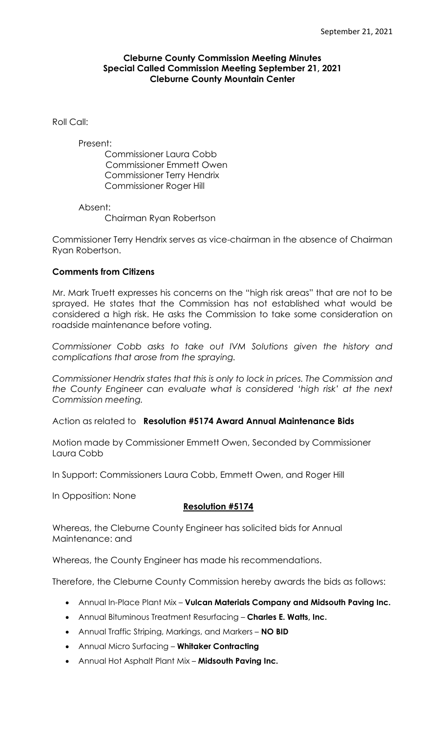#### **Cleburne County Commission Meeting Minutes Special Called Commission Meeting September 21, 2021 Cleburne County Mountain Center**

Roll Call:

Present:

Commissioner Laura Cobb Commissioner Emmett Owen Commissioner Terry Hendrix Commissioner Roger Hill

Absent:

Chairman Ryan Robertson

Commissioner Terry Hendrix serves as vice-chairman in the absence of Chairman Ryan Robertson.

#### **Comments from Citizens**

Mr. Mark Truett expresses his concerns on the "high risk areas" that are not to be sprayed. He states that the Commission has not established what would be considered a high risk. He asks the Commission to take some consideration on roadside maintenance before voting.

*Commissioner Cobb asks to take out IVM Solutions given the history and complications that arose from the spraying.*

*Commissioner Hendrix states that this is only to lock in prices. The Commission and the County Engineer can evaluate what is considered 'high risk' at the next Commission meeting.*

Action as related to **Resolution #5174 Award Annual Maintenance Bids**

Motion made by Commissioner Emmett Owen, Seconded by Commissioner Laura Cobb

In Support: Commissioners Laura Cobb, Emmett Owen, and Roger Hill

In Opposition: None

### **Resolution #5174**

Whereas, the Cleburne County Engineer has solicited bids for Annual Maintenance: and

Whereas, the County Engineer has made his recommendations.

Therefore, the Cleburne County Commission hereby awards the bids as follows:

- Annual In-Place Plant Mix **Vulcan Materials Company and Midsouth Paving Inc.**
- Annual Bituminous Treatment Resurfacing **Charles E. Watts, Inc.**
- Annual Traffic Striping, Markings, and Markers **NO BID**
- Annual Micro Surfacing **Whitaker Contracting**
- Annual Hot Asphalt Plant Mix **Midsouth Paving Inc.**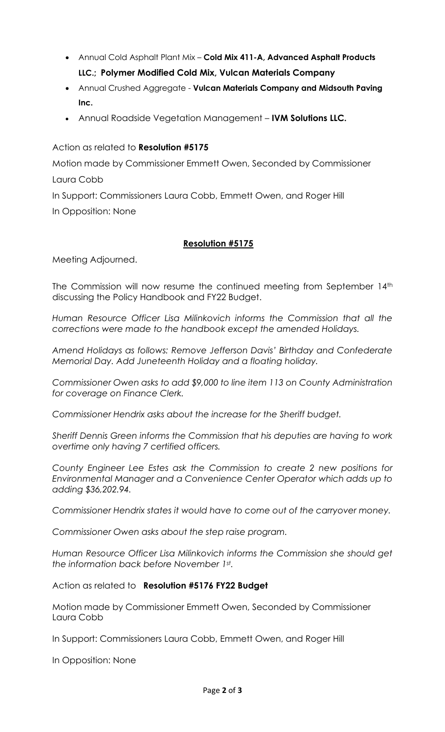- Annual Cold Asphalt Plant Mix **Cold Mix 411-A, Advanced Asphalt Products LLC.; Polymer Modified Cold Mix, Vulcan Materials Company**
- Annual Crushed Aggregate **Vulcan Materials Company and Midsouth Paving Inc.**
- Annual Roadside Vegetation Management **IVM Solutions LLC.**

Action as related to **Resolution #5175**

Motion made by Commissioner Emmett Owen, Seconded by Commissioner Laura Cobb

In Support: Commissioners Laura Cobb, Emmett Owen, and Roger Hill In Opposition: None

# **Resolution #5175**

Meeting Adjourned.

The Commission will now resume the continued meeting from September 14th discussing the Policy Handbook and FY22 Budget.

*Human Resource Officer Lisa Milinkovich informs the Commission that all the corrections were made to the handbook except the amended Holidays.*

*Amend Holidays as follows: Remove Jefferson Davis' Birthday and Confederate Memorial Day. Add Juneteenth Holiday and a floating holiday.*

*Commissioner Owen asks to add \$9,000 to line item 113 on County Administration for coverage on Finance Clerk.*

*Commissioner Hendrix asks about the increase for the Sheriff budget.*

*Sheriff Dennis Green informs the Commission that his deputies are having to work overtime only having 7 certified officers.*

*County Engineer Lee Estes ask the Commission to create 2 new positions for Environmental Manager and a Convenience Center Operator which adds up to adding \$36,202.94.*

*Commissioner Hendrix states it would have to come out of the carryover money.*

*Commissioner Owen asks about the step raise program.*

*Human Resource Officer Lisa Milinkovich informs the Commission she should get the information back before November 1st .* 

Action as related to **Resolution #5176 FY22 Budget**

Motion made by Commissioner Emmett Owen, Seconded by Commissioner Laura Cobb

In Support: Commissioners Laura Cobb, Emmett Owen, and Roger Hill

In Opposition: None